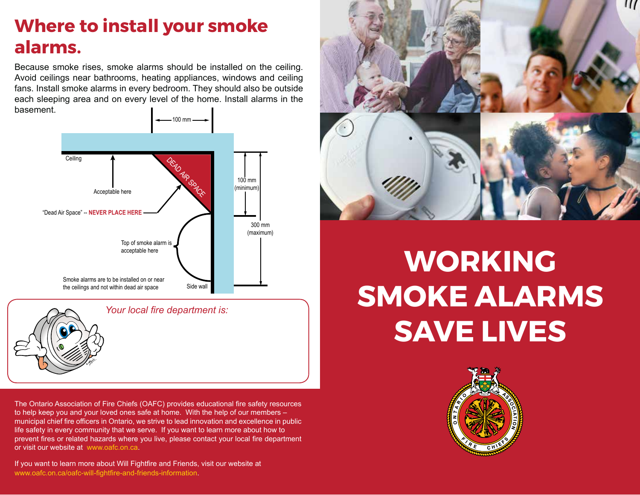### **Where to install your smoke alarms.**

Because smoke rises, smoke alarms should be installed on the ceiling. Avoid ceilings near bathrooms, heating appliances, windows and ceiling fans. Install smoke alarms in every bedroom. They should also be outside each sleeping area and on every level of the home. Install alarms in the basement.





*Your local fire department is:*

The Ontario Association of Fire Chiefs (OAFC) provides educational fire safety resources to help keep you and your loved ones safe at home. With the help of our members – municipal chief fire officers in Ontario, we strive to lead innovation and excellence in public life safety in every community that we serve. If you want to learn more about how to prevent fires or related hazards where you live, please contact your local fire department or visit our website at www.oafc.on.ca.

If you want to learn more about Will Fightfire and Friends, visit our website at www.oafc.on.ca/oafc-will-fightfire-and-friends-information.



# **WORKING SMOKE ALARMS SAVE LIVES**